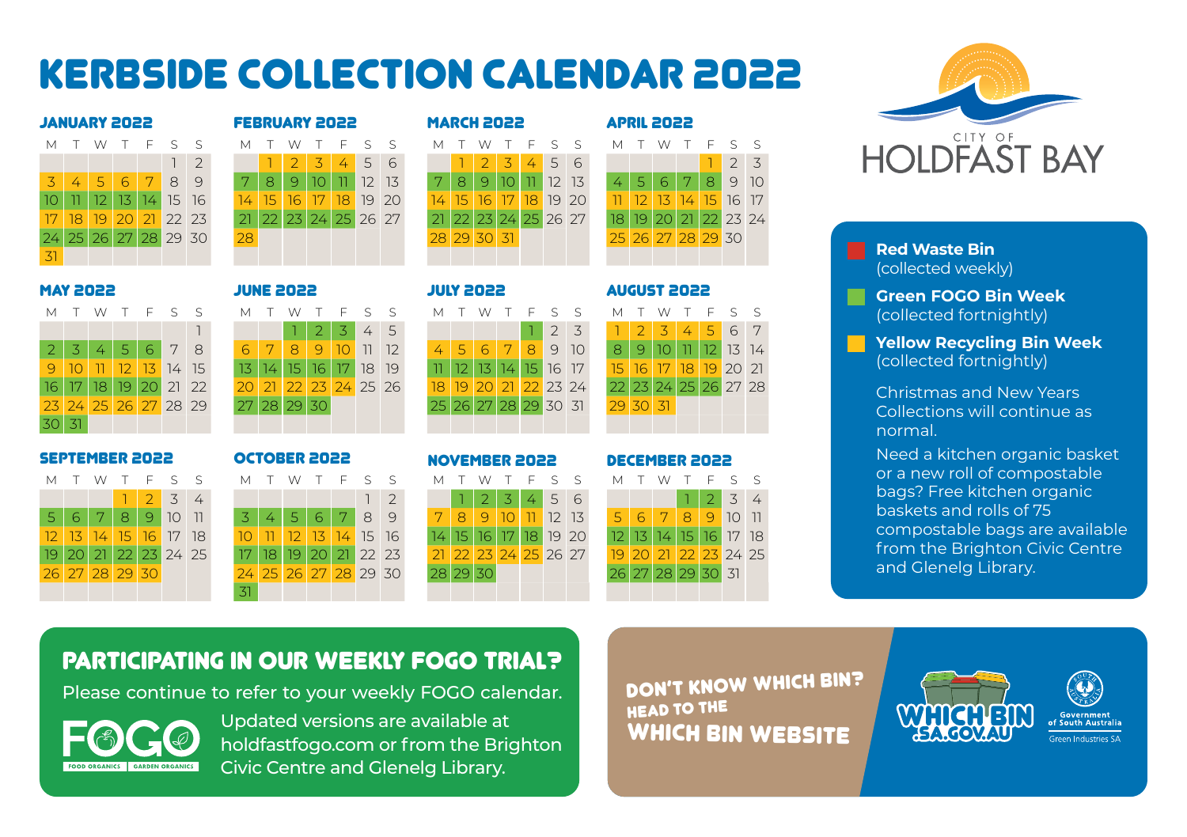# Kerbside collection calendar 2022

|    |  | JANUAKI CUCC         |  |        |
|----|--|----------------------|--|--------|
| м  |  | T W T F S            |  | $\leq$ |
|    |  |                      |  | 12     |
|    |  | 31456789             |  |        |
|    |  | 10 11 12 13 14 15 16 |  |        |
|    |  | 17 18 19 20 21 22 23 |  |        |
|    |  | 24 25 26 27 28 29 30 |  |        |
| 31 |  |                      |  |        |

|                 | SSOS YAAUAN |    |            |    |          |                |    | <b>FEBRUARY 2022</b> |                  |                 |                 |         |           | <b>MARCH 2022</b> |    |             |     |    |                  |       |      | <b>APRIL 2022</b> |      |                   |    |                  |  |
|-----------------|-------------|----|------------|----|----------|----------------|----|----------------------|------------------|-----------------|-----------------|---------|-----------|-------------------|----|-------------|-----|----|------------------|-------|------|-------------------|------|-------------------|----|------------------|--|
| M T             |             | W  |            |    | T F S S  |                | М  |                      | W                |                 |                 | $F$ S S |           | М                 |    | W           |     |    | T F S            | - S   | M T  |                   |      |                   |    | W T F S S        |  |
|                 |             |    |            |    |          | $\overline{2}$ |    |                      | $\mathcal{P}$    | 3               | 4               | 5 6     |           |                   |    |             | 3   |    | $4 \overline{5}$ | -6    |      |                   |      |                   |    | $2 \overline{3}$ |  |
| $\overline{3}$  |             |    | $\sqrt{6}$ |    | 8        | 9              | 7. | 8                    | 9                |                 |                 | 12      | <b>13</b> | 7.                | 8  |             |     |    | 12               | 13    |      |                   | 6    |                   | 8  | 9 10             |  |
| 10.             |             |    |            | 14 | 15       | 16             |    | 15                   | 16 <sup>16</sup> | 17              | 18              |         | 19 20     | 14.               | 15 | 16.         |     | 18 |                  | 19 20 |      |                   |      | 14                | 15 | 16 17            |  |
| 17 <sup>1</sup> | 18          | 19 | 20         |    | 21 22 23 |                |    |                      | 23               | 24 <sub>1</sub> | 25 <sub>1</sub> | 26 27   |           |                   |    | 23.         | 241 | 25 |                  | 26 27 | 18 I |                   | 20 N |                   |    | 22 23 24         |  |
|                 | 24 25       | 26 | 27         | 28 | 29 30    |                | 28 |                      |                  |                 |                 |         |           |                   |    | 28 29 30 31 |     |    |                  |       |      |                   |      | 25 26 27 28 29 30 |    |                  |  |
| 31              |             |    |            |    |          |                |    |                      |                  |                 |                 |         |           |                   |    |             |     |    |                  |       |      |                   |      |                   |    |                  |  |
|                 |             |    |            |    |          |                |    |                      |                  |                 |                 |         |           |                   |    |             |     |    |                  |       |      |                   |      |                   |    |                  |  |

|  |  |                                               |  |  |                      |  |  |  |  |  |                      |  |          |  | MTWTFSS MTWTFSS MTWTFSS MTWTFSS   |  |
|--|--|-----------------------------------------------|--|--|----------------------|--|--|--|--|--|----------------------|--|----------|--|-----------------------------------|--|
|  |  |                                               |  |  | 12345                |  |  |  |  |  |                      |  |          |  | 1 2 3 1 2 3 4 5 6 7               |  |
|  |  | $2 \mid 3 \mid 4 \mid 5 \mid 6 \mid 7 \mid 8$ |  |  | 6 7 8 9 10 11 12     |  |  |  |  |  |                      |  |          |  | 4 5 6 7 8 9 10 8 9 10 11 12 13 14 |  |
|  |  | 9 10 11 12 13 14 15                           |  |  | 13 14 15 16 17 18 19 |  |  |  |  |  | 10 12 13 14 15 16 17 |  |          |  | 15 16 17 18 19 20 2               |  |
|  |  | 16 17 18 19 20 21 22                          |  |  | 20 21 22 23 24 25 26 |  |  |  |  |  | 18 19 20 21 22 23 24 |  |          |  | 22 23 24 25 26 27 28              |  |
|  |  | 23 24 25 26 27 28 29                          |  |  | 27 28 29 30          |  |  |  |  |  | 25 26 27 28 29 30 31 |  | 29 30 31 |  |                                   |  |
|  |  |                                               |  |  |                      |  |  |  |  |  |                      |  |          |  |                                   |  |

30 31



# 1 1 2 3 4 5 1 2 3 1 2 3 4 5 6 7 2 3 4 5 6 7 8 6 7 8 9 10 11 12 4 5 6 7 8 9 10 8 9 10 11 12 13 14 9 10 11 12 13 14 15 13 14 15 16 17 18 19 11 12 13 14 15 16 17 15 16 17 18 19 20 21 16 17 18 19 20 21 22 20 21 22 23 24 25 26 18 19 20 21 22 23 24 22 23 24 25 26 27 28 23 24 25 26 27 28 29 27 28 29 30 25 26 27 28 29 30 31 29 30 31 SEPTEMBER 2022 OCTOBER 2022 NOVEMBER 2022 DECEMBER 2022

|  |                |                     |  | 31 |  |                      |  |  |          |  |              |  |                      |  |  |  |                      |  |
|--|----------------|---------------------|--|----|--|----------------------|--|--|----------|--|--------------|--|----------------------|--|--|--|----------------------|--|
|  | 26 27 28 29 30 |                     |  |    |  | 24 25 26 27 28 29 30 |  |  | 28 29 30 |  |              |  |                      |  |  |  | 26 27 28 29 30 31    |  |
|  |                | 9 20 21 22 23 24 25 |  |    |  | 17 18 19 20 21 22 23 |  |  |          |  |              |  | 21 22 23 24 25 26 27 |  |  |  | 19 20 21 22 23 24 25 |  |
|  |                | 2 13 14 15 16 17 18 |  |    |  | 10 11 12 13 14 15 16 |  |  |          |  |              |  | 14 15 16 17 18 19 20 |  |  |  | 12 13 14 15 16 17 18 |  |
|  | 5678           | 91011               |  |    |  | 3 4 5 6 7 89         |  |  |          |  |              |  | 7 8 9 10 11 12 13    |  |  |  | 5 6 7 8 9 10 11      |  |
|  |                |                     |  |    |  |                      |  |  |          |  | $2 \times 3$ |  | 456                  |  |  |  | $\frac{1}{3}$ 4      |  |
|  |                | vil VVII F 5 5      |  |    |  | - IVI I VV I F 5 5   |  |  |          |  |              |  |                      |  |  |  | כ כדו WIND כבד WIND  |  |

|                |  | MTWTFSS MTWTFSS MTWTFSS MTWTFSS |  |  |                      |  |  |          |  |  |                                  |  |  |  |                      |  |
|----------------|--|---------------------------------|--|--|----------------------|--|--|----------|--|--|----------------------------------|--|--|--|----------------------|--|
|                |  | 1234                            |  |  | $\frac{1}{2}$        |  |  |          |  |  | $123456$ $1234$                  |  |  |  |                      |  |
|                |  | 5 6 7 8 9 10 11                 |  |  | 3456789              |  |  |          |  |  | 7 8 9 10 11 12 13 5 6 7 8 9 10 1 |  |  |  |                      |  |
|                |  | <u>17 13 14 15 16 17 18 </u>    |  |  | 10 11 12 13 14 15 16 |  |  |          |  |  | 14 15 16 17 18 19 20             |  |  |  | 12 13 14 15 16 17 18 |  |
|                |  | 19 20 21 22 23 24 25            |  |  | 17 18 19 20 21 22 23 |  |  |          |  |  | 21 22 23 24 25 26 27             |  |  |  | 19 20 21 22 23 24 25 |  |
| 26 27 28 29 30 |  |                                 |  |  | 24 25 26 27 28 29 30 |  |  | 28 29 30 |  |  |                                  |  |  |  | 26 27 28 29 30 31    |  |
|                |  |                                 |  |  |                      |  |  |          |  |  |                                  |  |  |  |                      |  |



# MAY 2022 JUNE 2022 JULY 2022 AUGUST 2022

| M |                   |  | T W T F S                | $\varsigma$ |
|---|-------------------|--|--------------------------|-------------|
|   |                   |  | $1 \mid 2 \mid 3 \mid 4$ |             |
|   |                   |  | 5 6 7 8 9 10 11          |             |
|   |                   |  | 12 13 14 15 16 17 18     |             |
|   |                   |  | 19 20 21 22 23 24 25     |             |
|   | 26 27 28 29 30 31 |  |                          |             |
|   |                   |  |                          |             |



### **Red Waste Bin** (collected weekly)

**Green FOGO Bin Week**  (collected fortnightly)

**Yellow Recycling Bin Week**  (collected fortnightly)

Christmas and New Years Collections will continue as normal.

Need a kitchen organic basket or a new roll of compostable bags? Free kitchen organic baskets and rolls of 75 compostable bags are available from the Brighton Civic Centre and Glenelg Library.

# PARTICIPATING IN OUR WEEKLY FOGO TRIAL?

Please continue to refer to your weekly FOGO calendar.



Updated versions are available at holdfastfogo.com or from the Brighton Civic Centre and Glenelg Library.

DON'T KNOW WHICH BIN? HEAD TO THE WHICH BIN WEBSITE